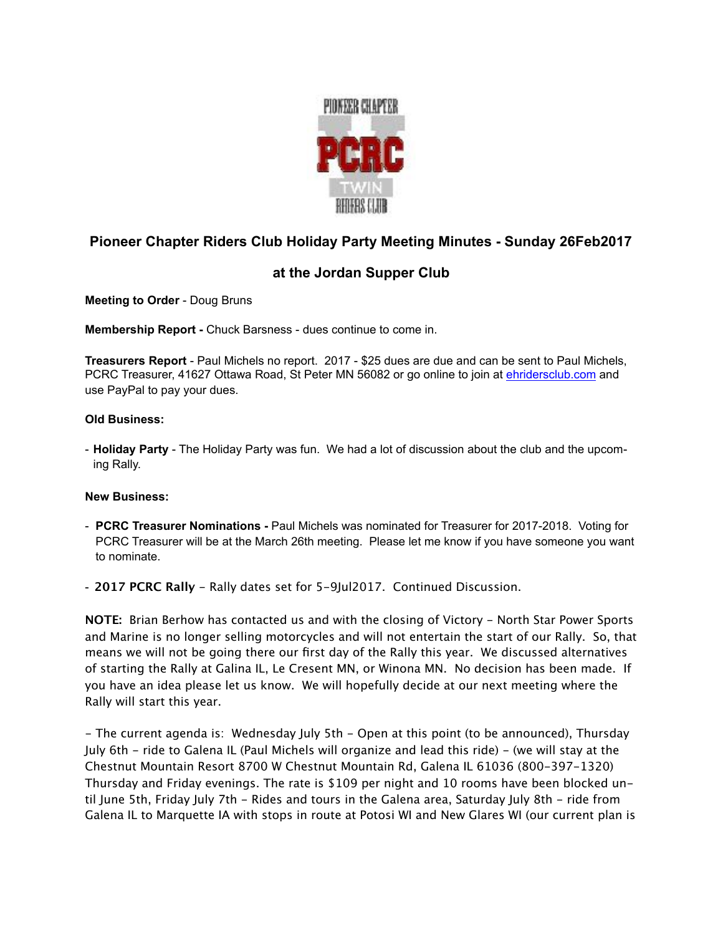

## **Pioneer Chapter Riders Club Holiday Party Meeting Minutes - Sunday 26Feb2017**

## **at the Jordan Supper Club**

**Meeting to Order** - Doug Bruns

**Membership Report -** Chuck Barsness - dues continue to come in.

**Treasurers Report** - Paul Michels no report. 2017 - \$25 dues are due and can be sent to Paul Michels, PCRC Treasurer, 41627 Ottawa Road, St Peter MN 56082 or go online to join at [ehridersclub.com](http://ehridersclub.com) and use PayPal to pay your dues.

## **Old Business:**

- **Holiday Party** - The Holiday Party was fun. We had a lot of discussion about the club and the upcoming Rally.

## **New Business:**

- **PCRC Treasurer Nominations** Paul Michels was nominated for Treasurer for 2017-2018. Voting for PCRC Treasurer will be at the March 26th meeting. Please let me know if you have someone you want to nominate.
- **2017 PCRC Rally** Rally dates set for 5-9Jul2017. Continued Discussion.

**NOTE:** Brian Berhow has contacted us and with the closing of Victory - North Star Power Sports and Marine is no longer selling motorcycles and will not entertain the start of our Rally. So, that means we will not be going there our first day of the Rally this year. We discussed alternatives of starting the Rally at Galina IL, Le Cresent MN, or Winona MN. No decision has been made. If you have an idea please let us know. We will hopefully decide at our next meeting where the Rally will start this year.

- The current agenda is: Wednesday July 5th - Open at this point (to be announced), Thursday July 6th - ride to Galena IL (Paul Michels will organize and lead this ride) - (we will stay at the Chestnut Mountain Resort 8700 W Chestnut Mountain Rd, Galena IL 61036 (800-397-1320) Thursday and Friday evenings. The rate is \$109 per night and 10 rooms have been blocked until June 5th, Friday July 7th - Rides and tours in the Galena area, Saturday July 8th - ride from Galena IL to Marquette IA with stops in route at Potosi WI and New Glares WI (our current plan is